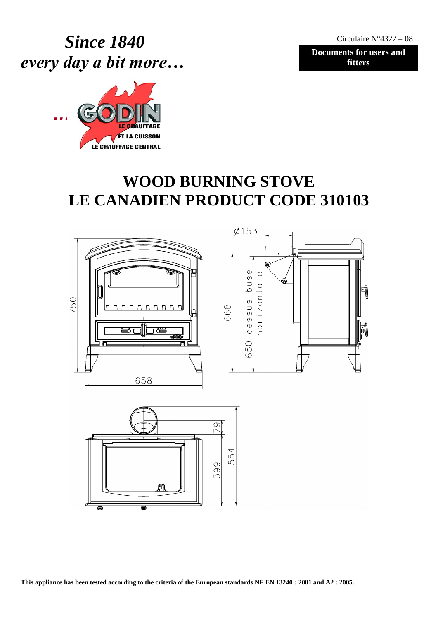Circulaire N°4322 – 08

**Documents for users and fitters**

 *Since 1840 every day a bit more…*



# **WOOD BURNING STOVE LE CANADIEN PRODUCT CODE 310103**



 $\equiv$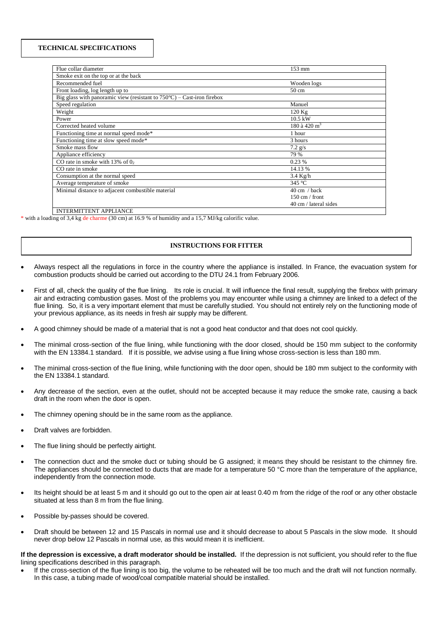#### **TECHNICAL SPECIFICATIONS**

| Flue collar diameter                                                             | 153 mm                   |
|----------------------------------------------------------------------------------|--------------------------|
| Smoke exit on the top or at the back                                             |                          |
| Recommended fuel                                                                 | Wooden logs              |
| Front loading, log length up to                                                  | $50 \text{ cm}$          |
| Big glass with panoramic view (resistant to $750^{\circ}$ C) – Cast-iron firebox |                          |
| Speed regulation                                                                 | Manuel                   |
| Weight                                                                           | $120$ Kg                 |
| Power                                                                            | $10.5$ kW                |
| Corrected heated volume                                                          | 180 à 420 m <sup>3</sup> |
| Functioning time at normal speed mode*                                           | 1 hour                   |
| Functioning time at slow speed mode*                                             | 3 hours                  |
| Smoke mass flow                                                                  | $7.2$ g/s                |
| Appliance efficiency                                                             | 79 %                     |
| CO rate in smoke with $13\%$ of 0,                                               | 0.23%                    |
| CO rate in smoke                                                                 | 14.13 %                  |
| Consumption at the normal speed                                                  | $3.4$ Kg/h               |
| Average temperature of smoke                                                     | 345 °C                   |
| Minimal distance to adjacent combustible material                                | $40 \text{ cm}$ / back   |
|                                                                                  | $150 \text{ cm}$ / front |
|                                                                                  | 40 cm / lateral sides    |
|                                                                                  |                          |

INTERMITTENT APPLIANCE

\* with a loading of 3,4 kg de charme (30 cm) at 16.9 % of humidity and a 15,7 MJ/kg calorific value.

## **INSTRUCTIONS FOR FITTER**

- Always respect all the regulations in force in the country where the appliance is installed. In France, the evacuation system for combustion products should be carried out according to the DTU 24.1 from February 2006.
- First of all, check the quality of the flue lining. Its role is crucial. It will influence the final result, supplying the firebox with primary air and extracting combustion gases. Most of the problems you may encounter while using a chimney are linked to a defect of the flue lining. So, it is a very important element that must be carefully studied. You should not entirely rely on the functioning mode of your previous appliance, as its needs in fresh air supply may be different.
- A good chimney should be made of a material that is not a good heat conductor and that does not cool quickly.
- The minimal cross-section of the flue lining, while functioning with the door closed, should be 150 mm subject to the conformity with the EN 13384.1 standard. If it is possible, we advise using a flue lining whose cross-section is less than 180 mm.
- The minimal cross-section of the flue lining, while functioning with the door open, should be 180 mm subject to the conformity with the EN 13384.1 standard.
- Any decrease of the section, even at the outlet, should not be accepted because it may reduce the smoke rate, causing a back draft in the room when the door is open.
- The chimney opening should be in the same room as the appliance.
- Draft valves are forbidden.
- The flue lining should be perfectly airtight.
- The connection duct and the smoke duct or tubing should be G assigned; it means they should be resistant to the chimney fire. The appliances should be connected to ducts that are made for a temperature 50 °C more than the temperature of the appliance, independently from the connection mode.
- Its height should be at least 5 m and it should go out to the open air at least 0.40 m from the ridge of the roof or any other obstacle situated at less than 8 m from the flue lining.
- Possible by-passes should be covered.
- Draft should be between 12 and 15 Pascals in normal use and it should decrease to about 5 Pascals in the slow mode. It should never drop below 12 Pascals in normal use, as this would mean it is inefficient.

**If the depression is excessive, a draft moderator should be installed.** If the depression is not sufficient, you should refer to the flue lining specifications described in this paragraph.

 If the cross-section of the flue lining is too big, the volume to be reheated will be too much and the draft will not function normally. In this case, a tubing made of wood/coal compatible material should be installed.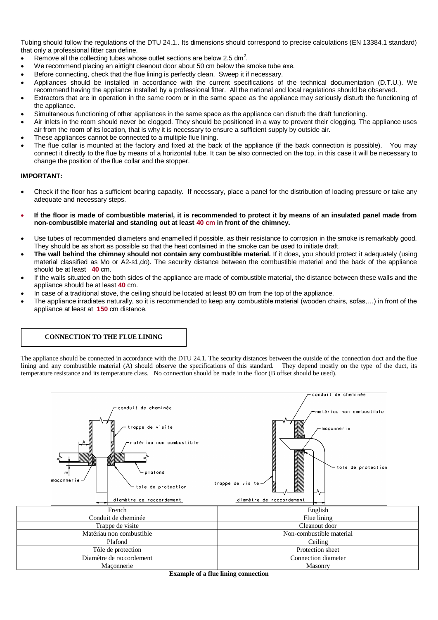Tubing should follow the regulations of the DTU 24.1.. Its dimensions should correspond to precise calculations (EN 13384.1 standard) that only a professional fitter can define.

- Exercise 2.5 dm<sup>2</sup>. Remove all the collecting tubes whose outlet sections are below 2.5 dm<sup>2</sup>.
- We recommend placing an airtight cleanout door about 50 cm below the smoke tube axe.
- Before connecting, check that the flue lining is perfectly clean. Sweep it if necessary.
- Appliances should be installed in accordance with the current specifications of the technical documentation (D.T.U.). We recommend having the appliance installed by a professional fitter. All the national and local regulations should be observed.
- Extractors that are in operation in the same room or in the same space as the appliance may seriously disturb the functioning of the appliance.
- Simultaneous functioning of other appliances in the same space as the appliance can disturb the draft functioning.
- Air inlets in the room should never be clogged. They should be positioned in a way to prevent their clogging. The appliance uses air from the room of its location, that is why it is necessary to ensure a sufficient supply by outside air.
- These appliances cannot be connected to a multiple flue lining.
- The flue collar is mounted at the factory and fixed at the back of the appliance (if the back connection is possible). You may connect it directly to the flue by means of a horizontal tube. It can be also connected on the top, in this case it will be necessary to change the position of the flue collar and the stopper.

## **IMPORTANT:**

- Check if the floor has a sufficient bearing capacity. If necessary, place a panel for the distribution of loading pressure or take any adequate and necessary steps.
- **If the floor is made of combustible material, it is recommended to protect it by means of an insulated panel made from non-combustible material and standing out at least 40 cm in front of the chimney.**
- Use tubes of recommended diameters and enamelled if possible, as their resistance to corrosion in the smoke is remarkably good. They should be as short as possible so that the heat contained in the smoke can be used to initiate draft.
- **The wall behind the chimney should not contain any combustible material.** If it does, you should protect it adequately (using material classified as Mo or A2-s1,do). The security distance between the combustible material and the back of the appliance should be at least **40** cm.
- If the walls situated on the both sides of the appliance are made of combustible material, the distance between these walls and the appliance should be at least **40** cm.
- In case of a traditional stove, the ceiling should be located at least 80 cm from the top of the appliance.
- The appliance irradiates naturally, so it is recommended to keep any combustible material (wooden chairs, sofas,…) in front of the appliance at least at **150** cm distance.

## **CONNECTION TO THE FLUE LINING**

The appliance should be connected in accordance with the DTU 24.1. The security distances between the outside of the connection duct and the flue lining and any combustible material (A) should observe the specifications of this standard. They depend mostly on the type of the duct, its temperature resistance and its temperature class. No connection should be made in the floor (B offset should be used).



**Example of a flue lining connection**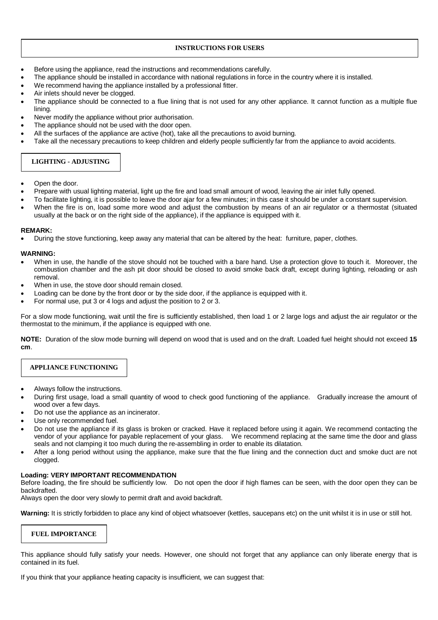## **INSTRUCTIONS FOR USERS**

- Before using the appliance, read the instructions and recommendations carefully.
- The appliance should be installed in accordance with national regulations in force in the country where it is installed.
- We recommend having the appliance installed by a professional fitter.
- Air inlets should never be clogged.
- The appliance should be connected to a flue lining that is not used for any other appliance. It cannot function as a multiple flue lining.
- Never modify the appliance without prior authorisation.
- The appliance should not be used with the door open.
- All the surfaces of the appliance are active (hot), take all the precautions to avoid burning.
- Take all the necessary precautions to keep children and elderly people sufficiently far from the appliance to avoid accidents.

## **LIGHTING - ADJUSTING**

- Open the door.
- Prepare with usual lighting material, light up the fire and load small amount of wood, leaving the air inlet fully opened.
- To facilitate lighting, it is possible to leave the door ajar for a few minutes; in this case it should be under a constant supervision.
- When the fire is on, load some more wood and adjust the combustion by means of an air regulator or a thermostat (situated usually at the back or on the right side of the appliance), if the appliance is equipped with it.

## **REMARK:**

During the stove functioning, keep away any material that can be altered by the heat: furniture, paper, clothes.

## **WARNING:**

- When in use, the handle of the stove should not be touched with a bare hand. Use a protection glove to touch it. Moreover, the combustion chamber and the ash pit door should be closed to avoid smoke back draft, except during lighting, reloading or ash removal.
- When in use, the stove door should remain closed.
- Loading can be done by the front door or by the side door, if the appliance is equipped with it.
- For normal use, put 3 or 4 logs and adjust the position to 2 or 3.

For a slow mode functioning, wait until the fire is sufficiently established, then load 1 or 2 large logs and adjust the air regulator or the thermostat to the minimum, if the appliance is equipped with one.

**NOTE:** Duration of the slow mode burning will depend on wood that is used and on the draft. Loaded fuel height should not exceed **15 cm**.

## **APPLIANCE FUNCTIONING**

- Always follow the instructions.
- During first usage, load a small quantity of wood to check good functioning of the appliance. Gradually increase the amount of wood over a few days.
- Do not use the appliance as an incinerator.
- Use only recommended fuel.
- Do not use the appliance if its glass is broken or cracked. Have it replaced before using it again. We recommend contacting the vendor of your appliance for payable replacement of your glass. We recommend replacing at the same time the door and glass seals and not clamping it too much during the re-assembling in order to enable its dilatation.
- After a long period without using the appliance, make sure that the flue lining and the connection duct and smoke duct are not clogged.

## **Loading: VERY IMPORTANT RECOMMENDATION**

Before loading, the fire should be sufficiently low. Do not open the door if high flames can be seen, with the door open they can be backdrafted.

Always open the door very slowly to permit draft and avoid backdraft.

Warning: It is strictly forbidden to place any kind of object whatsoever (kettles, saucepans etc) on the unit whilst it is in use or still hot.

## **FUEL IMPORTANCE**

This appliance should fully satisfy your needs. However, one should not forget that any appliance can only liberate energy that is contained in its fuel.

If you think that your appliance heating capacity is insufficient, we can suggest that: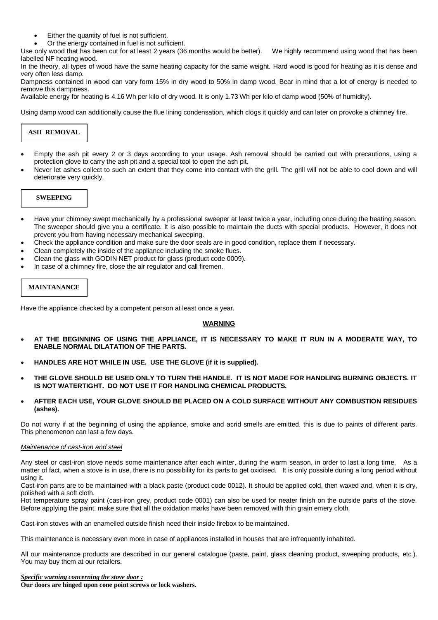- Either the quantity of fuel is not sufficient.
- Or the energy contained in fuel is not sufficient.

Use only wood that has been cut for at least 2 years (36 months would be better). We highly recommend using wood that has been labelled NF heating wood.

In the theory, all types of wood have the same heating capacity for the same weight. Hard wood is good for heating as it is dense and very often less damp.

Dampness contained in wood can vary form 15% in dry wood to 50% in damp wood. Bear in mind that a lot of energy is needed to remove this dampness.

Available energy for heating is 4.16 Wh per kilo of dry wood. It is only 1.73 Wh per kilo of damp wood (50% of humidity).

Using damp wood can additionally cause the flue lining condensation, which clogs it quickly and can later on provoke a chimney fire.

## **ASH REMOVAL**

- Empty the ash pit every 2 or 3 days according to your usage. Ash removal should be carried out with precautions, using a protection glove to carry the ash pit and a special tool to open the ash pit.
- Never let ashes collect to such an extent that they come into contact with the grill. The grill will not be able to cool down and will deteriorate very quickly.

## **SWEEPING**

- Have your chimney swept mechanically by a professional sweeper at least twice a year, including once during the heating season. The sweeper should give you a certificate. It is also possible to maintain the ducts with special products. However, it does not prevent you from having necessary mechanical sweeping.
- Check the appliance condition and make sure the door seals are in good condition, replace them if necessary.
- Clean completely the inside of the appliance including the smoke flues.
- Clean the glass with GODIN NET product for glass (product code 0009).
- In case of a chimney fire, close the air regulator and call firemen.

## **MAINTANANCE**

Have the appliance checked by a competent person at least once a year.

## **WARNING**

- **AT THE BEGINNING OF USING THE APPLIANCE, IT IS NECESSARY TO MAKE IT RUN IN A MODERATE WAY, TO ENABLE NORMAL DILATATION OF THE PARTS.**
- **HANDLES ARE HOT WHILE IN USE. USE THE GLOVE (if it is supplied).**
- **THE GLOVE SHOULD BE USED ONLY TO TURN THE HANDLE. IT IS NOT MADE FOR HANDLING BURNING OBJECTS. IT IS NOT WATERTIGHT. DO NOT USE IT FOR HANDLING CHEMICAL PRODUCTS.**
- **AFTER EACH USE, YOUR GLOVE SHOULD BE PLACED ON A COLD SURFACE WITHOUT ANY COMBUSTION RESIDUES (ashes).**

Do not worry if at the beginning of using the appliance, smoke and acrid smells are emitted, this is due to paints of different parts. This phenomenon can last a few days.

#### *Maintenance of cast-iron and steel*

Any steel or cast-iron stove needs some maintenance after each winter, during the warm season, in order to last a long time. As a matter of fact, when a stove is in use, there is no possibility for its parts to get oxidised. It is only possible during a long period without using it.

Cast-iron parts are to be maintained with a black paste (product code 0012). It should be applied cold, then waxed and, when it is dry, polished with a soft cloth.

Hot temperature spray paint (cast-iron grey, product code 0001) can also be used for neater finish on the outside parts of the stove. Before applying the paint, make sure that all the oxidation marks have been removed with thin grain emery cloth.

Cast-iron stoves with an enamelled outside finish need their inside firebox to be maintained.

This maintenance is necessary even more in case of appliances installed in houses that are infrequently inhabited.

All our maintenance products are described in our general catalogue (paste, paint, glass cleaning product, sweeping products, etc.). You may buy them at our retailers.

*Specific warning concerning the stove door :*

**Our doors are hinged upon cone point screws or lock washers.**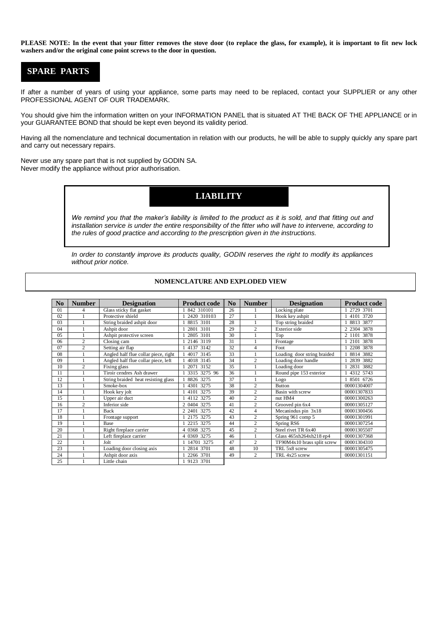**PLEASE NOTE: In the event that your fitter removes the stove door (to replace the glass, for example), it is important to fit new lock washers and/or the original cone point screws to the door in question.**

# **SPARE PARTS**

If after a number of years of using your appliance, some parts may need to be replaced, contact your SUPPLIER or any other PROFESSIONAL AGENT OF OUR TRADEMARK.

You should give him the information written on your INFORMATION PANEL that is situated AT THE BACK OF THE APPLIANCE or in your GUARANTEE BOND that should be kept even beyond its validity period.

Having all the nomenclature and technical documentation in relation with our products, he will be able to supply quickly any spare part and carry out necessary repairs.

Never use any spare part that is not supplied by GODIN SA. Never modify the appliance without prior authorisation.

## **LIABILITY**

We remind you that the maker's liability is limited to the product as it is sold, and that fitting out and *installation service is under the entire responsibility of the fitter who will have to intervene, according to the rules of good practice and according to the prescription given in the instructions.* 

*In order to constantly improve its products quality, GODIN reserves the right to modify its appliances without prior notice.* 

| No | <b>Number</b>  | <b>Designation</b>                   |                     | $\mathbf{N}\mathbf{0}$ | <b>Number</b>  |                             | <b>Product code</b> |
|----|----------------|--------------------------------------|---------------------|------------------------|----------------|-----------------------------|---------------------|
|    |                |                                      | <b>Product code</b> |                        |                | <b>Designation</b>          |                     |
| 01 | $\overline{4}$ | Glass sticky flat gasket             | 842 310101          | 26                     |                | Locking plate               | 2729 3701           |
| 02 |                | Protective shield                    | 2420 310103         | 27                     |                | Hook key ashpit             | 4101 3720           |
| 03 |                | String braided ashpit door           | 8815 3101           | 28                     |                | Top string braided          | 8813 3877           |
| 04 |                | Ashpit door                          | 2801 3101           | 29                     | $\overline{c}$ | Exterior side               | 2 2304 3878         |
| 05 |                | Ashpit protective screen             | 2805 3101           | 30                     |                | Top                         | 3878<br>2 1101      |
| 06 | $\overline{c}$ | Closing cam                          | 2146 3119           | 31                     |                | Frontage                    | 2101 3878           |
| 07 | $\overline{c}$ | Setting air flap                     | 4137 3142           | 32                     | 4              | Foot                        | 2208 3878           |
| 08 |                | Angled half flue collar piece, right | 4017 3145           | 33                     |                | Loading door string braided | 8814 3882           |
| 09 |                | Angled half flue collar piece, left  | 4018 3145           | 34                     | $\overline{c}$ | Loading door handle         | 2839 3882           |
| 10 | $\overline{2}$ | Fixing glass                         | 3152<br>2071        | 35                     |                | Loading door                | 2831 3882           |
| 11 |                | Tiroir cendres Ash drawer            | 3315 3275 96        | 36                     |                | Round pipe 153 exterior     | 4312 5743           |
| 12 |                | String braided heat resisting glass  | 8826 3275           | 37                     |                | Logo                        | 8501 6726           |
| 13 |                | Smoke-box                            | 4301 3275           | 38                     | $\overline{c}$ | <b>Button</b>               | 00001304007         |
| 14 |                | Hook key jolt                        | 3275<br>4101        | 39                     | $\overline{c}$ | Basin with screw            | 00001307833         |
| 15 |                | Upper air duct                       | 4112 3275           | 40                     | $\overline{c}$ | nut HM4                     | 00001300263         |
| 16 | $\overline{c}$ | Inferior side                        | 3275<br>2 0404      | 41                     | $\overline{c}$ | Grooved pin 6x4             | 00001305127         |
| 17 |                | <b>Back</b>                          | 2 2401 3275         | 42                     | 4              | Mecanindus pin 3x18         | 00001300456         |
| 18 |                | Frontage support                     | 2175 3275           | 43                     | $\overline{c}$ | Spring 961 comp 5           | 00001301991         |
| 19 |                | <b>Base</b>                          | 2215 3275           | 44                     | $\overline{c}$ | Spring RS6                  | 00001307254         |
| 20 |                | Right fireplace carrier              | 4 0368 3275         | 45                     | $\overline{c}$ | Steel rivet TR 6x40         | 00001305507         |
| 21 |                | Left fireplace carrier               | 3275<br>4 0369      | 46                     |                | Glass 465xh264xh218 ep4     | 00001307368         |
| 22 |                | Jolt                                 | 14701 3275          | 47                     | $\overline{c}$ | TF90M4x10 brass split screw | 00001304310         |
| 23 |                | Loading door closing axis            | 2814 3701           | 48                     | 10             | TRL 5x8 screw               | 00001305475         |
| 24 |                | Ashpit door axis                     | 2266 3701           | 49                     | $\overline{c}$ | TRL 4x25 screw              | 00001301151         |
| 25 |                | Little chain                         | 1 9123 3701         |                        |                |                             |                     |

#### **NOMENCLATURE AND EXPLODED VIEW**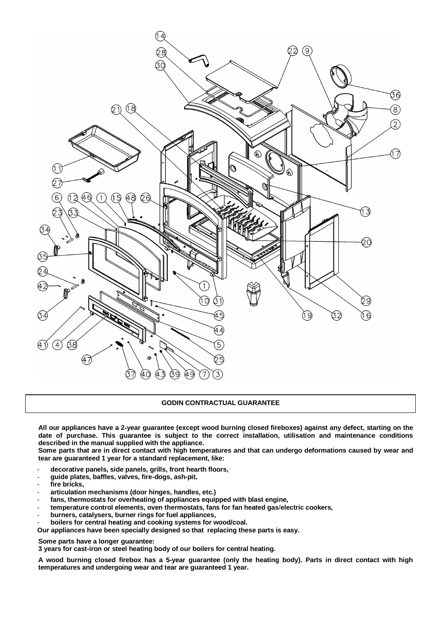

#### **GODIN CONTRACTUAL GUARANTEE**

**All our appliances have a 2-year guarantee (except wood burning closed fireboxes) against any defect, starting on the date of purchase. This guarantee is subject to the correct installation, utilisation and maintenance conditions described in the manual supplied with the appliance.**

**Some parts that are in direct contact with high temperatures and that can undergo deformations caused by wear and tear are guaranteed 1 year for a standard replacement, like:** 

- **decorative panels, side panels, grills, front hearth floors,**
- **guide plates, baffles, valves, fire-dogs, ash-pit,**
- fire bricks,
- **articulation mechanisms (door hinges, handles, etc.)**
- fans, thermostats for overheating of appliances equipped with blast engine,
- **temperature control elements, oven thermostats, fans for fan heated gas**/**electric cookers,**
- **burners, catalysers, burner rings for fuel appliances,**
- **boilers for central heating and cooking systems for wood/coal.**

**Our appliances have been specially designed so that replacing these parts is easy.** 

**Some parts have a longer guarantee:** 

**3 years for cast-iron or steel heating body of our boilers for central heating.** 

**A wood burning closed firebox has a 5-year guarantee (only the heating body). Parts in direct contact with high temperatures and undergoing wear and tear are guaranteed 1 year.**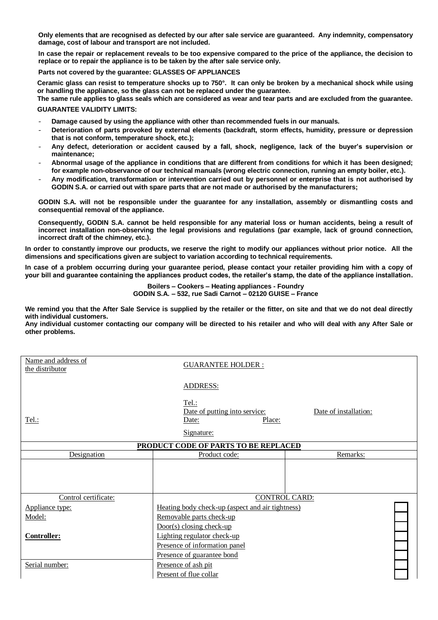**Only elements that are recognised as defected by our after sale service are guaranteed. Any indemnity, compensatory damage, cost of labour and transport are not included.** 

**In case the repair or replacement reveals to be too expensive compared to the price of the appliance, the decision to replace or to repair the appliance is to be taken by the after sale service only.** 

**Parts not covered by the guarantee: GLASSES OF APPLIANCES**

**Ceramic glass can resist to temperature shocks up to 750°. It can only be broken by a mechanical shock while using or handling the appliance, so the glass can not be replaced under the guarantee.** 

**The same rule applies to glass seals which are considered as wear and tear parts and are excluded from the guarantee. GUARANTEE VALIDITY LIMITS:**

- **Damage caused by using the appliance with other than recommended fuels in our manuals.**
- **Deterioration of parts provoked by external elements (backdraft, storm effects, humidity, pressure or depression that is not conform, temperature shock, etc.);**
- **Any defect, deterioration or accident caused by a fall, shock, negligence, lack of the buyer's supervision or maintenance;**
- **Abnormal usage of the appliance in conditions that are different from conditions for which it has been designed; for example non-observance of our technical manuals (wrong electric connection, running an empty boiler, etc.).**
- **Any modification, transformation or intervention carried out by personnel or enterprise that is not authorised by GODIN S.A. or carried out with spare parts that are not made or authorised by the manufacturers;**

**GODIN S.A. will not be responsible under the guarantee for any installation, assembly or dismantling costs and consequential removal of the appliance.**

**Consequently, GODIN S.A. cannot be held responsible for any material loss or human accidents, being a result of incorrect installation non-observing the legal provisions and regulations (par example, lack of ground connection, incorrect draft of the chimney, etc.).** 

**In order to constantly improve our products, we reserve the right to modify our appliances without prior notice. All the dimensions and specifications given are subject to variation according to technical requirements.**

**In case of a problem occurring during your guarantee period, please contact your retailer providing him with a copy of your bill and guarantee containing the appliances product codes, the retailer's stamp, the date of the appliance installation.** 

> **Boilers – Cookers – Heating appliances - Foundry GODIN S.A. – 532, rue Sadi Carnot – 02120 GUISE – France**

**We remind you that the After Sale Service is supplied by the retailer or the fitter, on site and that we do not deal directly with individual customers.** 

**Any individual customer contacting our company will be directed to his retailer and who will deal with any After Sale or other problems.** 

| Name and address of<br>the distributor | <b>GUARANTEE HOLDER:</b>                                                       |                       |  |
|----------------------------------------|--------------------------------------------------------------------------------|-----------------------|--|
|                                        | <b>ADDRESS:</b>                                                                |                       |  |
| Tel.:                                  | <u>Tel.:</u><br>Date of putting into service:<br>Date:<br>Place:<br>Signature: | Date of installation: |  |
|                                        | PRODUCT CODE OF PARTS TO BE REPLACED                                           |                       |  |
| Designation                            | Product code:                                                                  | Remarks:              |  |
|                                        |                                                                                |                       |  |
| Control certificate:                   | <b>CONTROL CARD:</b>                                                           |                       |  |
| Appliance type:                        | Heating body check-up (aspect and air tightness)                               |                       |  |
| Model:                                 | Removable parts check-up                                                       |                       |  |
|                                        | $Door(s) closing check-up$                                                     |                       |  |
| <b>Controller:</b>                     | Lighting regulator check-up                                                    |                       |  |
|                                        | Presence of information panel                                                  |                       |  |
|                                        | Presence of guarantee bond                                                     |                       |  |
| Serial number:                         | Presence of ash pit                                                            |                       |  |
|                                        | Present of flue collar                                                         |                       |  |